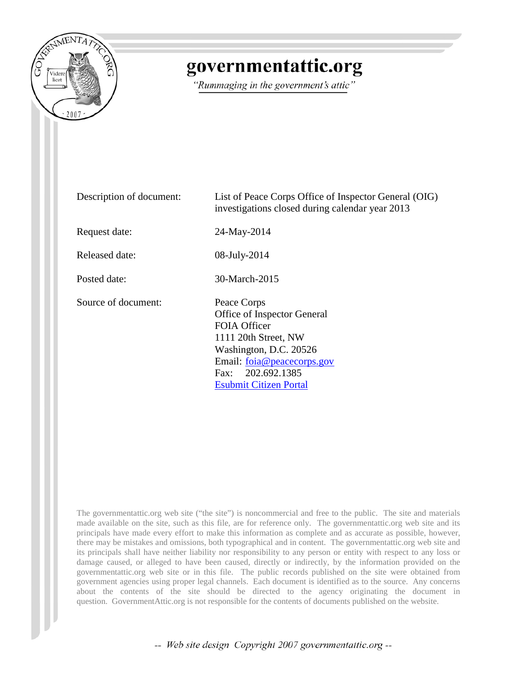

## governmentattic.org

"Rummaging in the government's attic"

| Description of document: | List of Peace Corps Office of Inspector General (OIG)<br>investigations closed during calendar year 2013                                                                                         |  |  |  |
|--------------------------|--------------------------------------------------------------------------------------------------------------------------------------------------------------------------------------------------|--|--|--|
| Request date:            | 24-May-2014                                                                                                                                                                                      |  |  |  |
| Released date:           | 08-July-2014                                                                                                                                                                                     |  |  |  |
| Posted date:             | 30-March-2015                                                                                                                                                                                    |  |  |  |
| Source of document:      | Peace Corps<br>Office of Inspector General<br>FOIA Officer<br>1111 20th Street, NW<br>Washington, D.C. 20526<br>Email: foia@peacecorps.gov<br>Fax: 202.692.1385<br><b>Esubmit Citizen Portal</b> |  |  |  |

The governmentattic.org web site ("the site") is noncommercial and free to the public. The site and materials made available on the site, such as this file, are for reference only. The governmentattic.org web site and its principals have made every effort to make this information as complete and as accurate as possible, however, there may be mistakes and omissions, both typographical and in content. The governmentattic.org web site and its principals shall have neither liability nor responsibility to any person or entity with respect to any loss or damage caused, or alleged to have been caused, directly or indirectly, by the information provided on the governmentattic.org web site or in this file. The public records published on the site were obtained from government agencies using proper legal channels. Each document is identified as to the source. Any concerns about the contents of the site should be directed to the agency originating the document in question. GovernmentAttic.org is not responsible for the contents of documents published on the website.

-- Web site design Copyright 2007 governmentattic.org --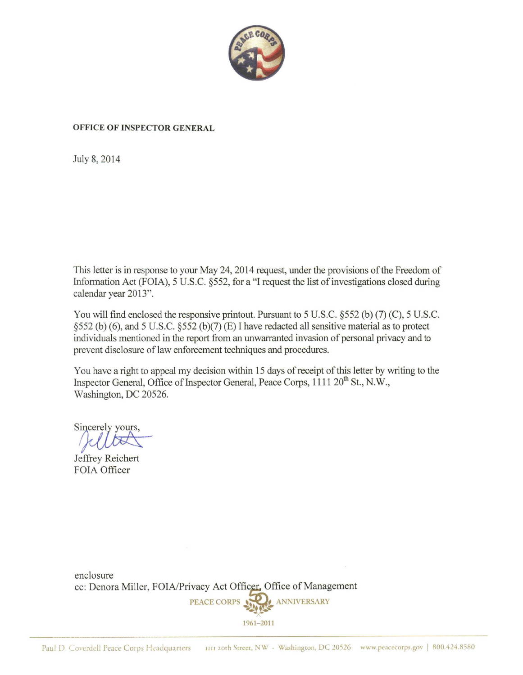

## **OFFICE OF INSPECTOR GENERAL**

July 8, 2014

This letter is in response to your May 24, 2014 request, under the provisions of the Freedom of Information Act (FOIA), 5 U.S.C. §552, for a "I request the list of investigations closed during calendar year 2013".

You will find enclosed the responsive printout. Pursuant to 5 U.S.C. §552 (b) (7) (C), 5 U.S.C. §552 (b) (6), and 5 U.S.C. §552 (b)(7) (E) I have redacted all sensitive material as to protect individuals mentioned in the report from an unwarranted invasion of personal privacy and to prevent disclosure of law enforcement techniques and procedures.

You have a right to appeal my decision within 15 days of receipt of this letter by writing to the Inspector General, Office of Inspector General, Peace Corps, 1111  $20^{th}$  St., N.W., Washington, DC 20526. Vashington, DC 20526.

Je ffrey Reichert FOIA Officer

enclosure cc: Denora Miller, FOIA/Privacy Act Officer, Office of Management PEACE CORPS **\*\*** 

1961- 2011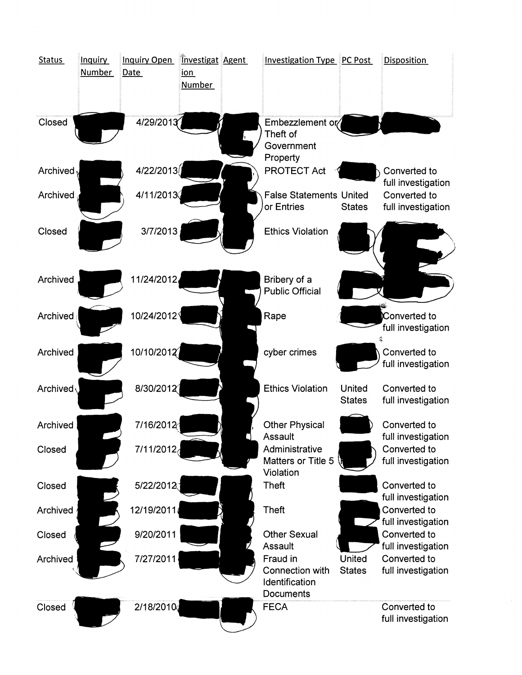| <b>Status</b>  | <b>Inquiry</b><br>Number | <b>Inquiry Open</b><br>Date | <b>Investigat Agent</b><br><u>ion</u><br><b>Number</b> | <b>Investigation Type PC Post</b>                                     |                                | <b>Disposition</b>                                       |
|----------------|--------------------------|-----------------------------|--------------------------------------------------------|-----------------------------------------------------------------------|--------------------------------|----------------------------------------------------------|
| Closed         |                          | 4/29/2013                   |                                                        | Embezzlement or/<br>Theft of<br>Government<br>Property                |                                |                                                          |
| Archived $\nu$ |                          | 4/22/2013                   |                                                        | <b>PROTECT Act</b>                                                    |                                | Converted to                                             |
| Archived       |                          | 4/11/2013                   |                                                        | <b>False Statements United</b><br>or Entries                          | <b>States</b>                  | full investigation<br>Converted to<br>full investigation |
| Closed         |                          | 3/7/2013                    |                                                        | <b>Ethics Violation</b>                                               |                                |                                                          |
| Archived       |                          | 11/24/2012                  |                                                        | Bribery of a<br><b>Public Official</b>                                |                                |                                                          |
| Archived       |                          | 10/24/2012                  |                                                        | Rape                                                                  |                                | Converted to<br>full investigation                       |
| Archived       |                          | 10/10/2012                  |                                                        | cyber crimes                                                          |                                | Converted to<br>full investigation                       |
| Archived       |                          | 8/30/2012                   |                                                        | <b>Ethics Violation</b>                                               | <b>United</b><br><b>States</b> | Converted to<br>full investigation                       |
| Archived       |                          | 7/16/2012                   |                                                        | <b>Other Physical</b>                                                 |                                | Converted to                                             |
| Closed         |                          | 7/11/2012                   |                                                        | Assault<br>Administrative<br>Matters or Title 5<br>Violation          |                                | full investigation<br>Converted to<br>full investigation |
| Closed         |                          | 5/22/2012                   |                                                        | Theft                                                                 |                                | Converted to<br>full investigation                       |
| Archived       |                          | 12/19/2011                  |                                                        | <b>Theft</b>                                                          |                                | Converted to                                             |
| Closed         |                          | 9/20/2011                   |                                                        | <b>Other Sexual</b>                                                   |                                | full investigation<br>Converted to                       |
| Archived       |                          | 7/27/2011                   |                                                        | Assault<br>Fraud in<br>Connection with<br>Identification<br>Documents | United<br><b>States</b>        | full investigation<br>Converted to<br>full investigation |
| Closed         |                          | 2/18/2010                   |                                                        | <b>FECA</b>                                                           |                                | Converted to<br>full investigation                       |